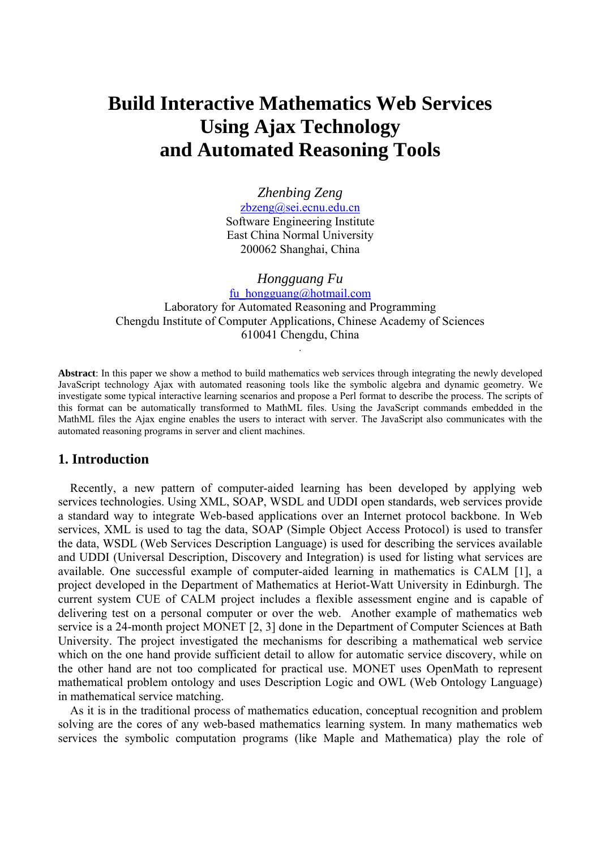# **Build Interactive Mathematics Web Services Using Ajax Technology and Automated Reasoning Tools**

*Zhenbing Zeng*  [zbzeng@sei.ecnu.edu.cn](mailto:zbzeng@sei.ecnu.edu.cn) Software Engineering Institute East China Normal University 200062 Shanghai, China

*Hongguang Fu*  fu\_hongguang@hotmail.com Laboratory for Automated Reasoning and Programming Chengdu Institute of Computer Applications, Chinese Academy of Sciences 610041 Chengdu, China .

**Abstract**: In this paper we show a method to build mathematics web services through integrating the newly developed JavaScript technology Ajax with automated reasoning tools like the symbolic algebra and dynamic geometry. We investigate some typical interactive learning scenarios and propose a Perl format to describe the process. The scripts of this format can be automatically transformed to MathML files. Using the JavaScript commands embedded in the MathML files the Ajax engine enables the users to interact with server. The JavaScript also communicates with the automated reasoning programs in server and client machines.

#### **1. Introduction**

Recently, a new pattern of computer-aided learning has been developed by applying web services technologies. Using XML, SOAP, WSDL and UDDI open standards, web services provide a standard way to integrate Web-based applications over an Internet protocol backbone. In Web services, XML is used to tag the data, SOAP (Simple Object Access Protocol) is used to transfer the data, WSDL (Web Services Description Language) is used for describing the services available and UDDI (Universal Description, Discovery and Integration) is used for listing what services are available. One successful example of computer-aided learning in mathematics is CALM [1], a project developed in the Department of Mathematics at Heriot-Watt University in Edinburgh. The current system CUE of CALM project includes a flexible assessment engine and is capable of delivering test on a personal computer or over the web. Another example of mathematics web service is a 24-month project MONET [2, 3] done in the Department of Computer Sciences at Bath University. The project investigated the mechanisms for describing a mathematical web service which on the one hand provide sufficient detail to allow for automatic service discovery, while on the other hand are not too complicated for practical use. MONET uses OpenMath to represent mathematical problem ontology and uses Description Logic and OWL (Web Ontology Language) in mathematical service matching.

As it is in the traditional process of mathematics education, conceptual recognition and problem solving are the cores of any web-based mathematics learning system. In many mathematics web services the symbolic computation programs (like Maple and Mathematica) play the role of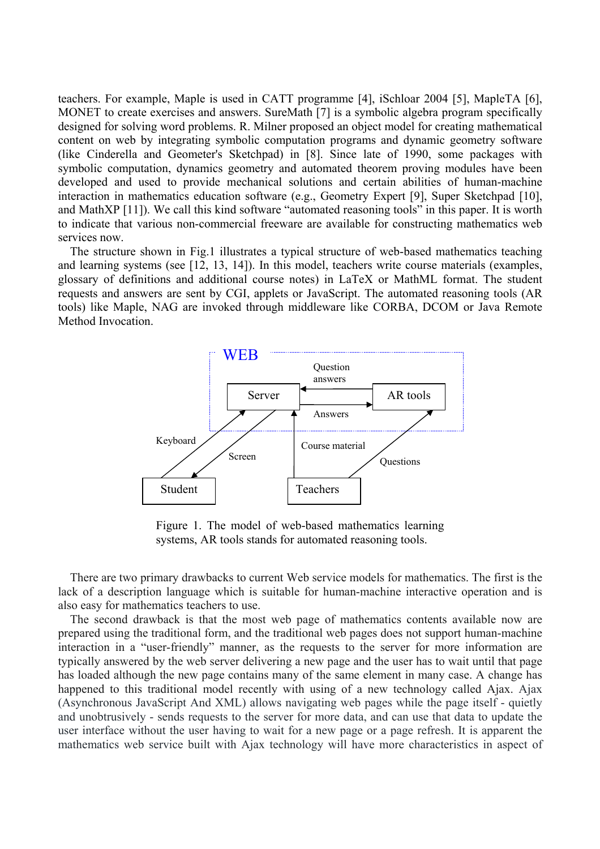teachers. For example, Maple is used in CATT programme [4], iSchloar 2004 [5], MapleTA [6], MONET to create exercises and answers. SureMath [7] is a symbolic algebra program specifically designed for solving word problems. R. Milner proposed an object model for creating mathematical content on web by integrating symbolic computation programs and dynamic geometry software (like Cinderella and Geometer's Sketchpad) in [8]. Since late of 1990, some packages with symbolic computation, dynamics geometry and automated theorem proving modules have been developed and used to provide mechanical solutions and certain abilities of human-machine interaction in mathematics education software (e.g., Geometry Expert [9], Super Sketchpad [10], and MathXP [11]). We call this kind software "automated reasoning tools" in this paper. It is worth to indicate that various non-commercial freeware are available for constructing mathematics web services now.

The structure shown in Fig.1 illustrates a typical structure of web-based mathematics teaching and learning systems (see [12, 13, 14]). In this model, teachers write course materials (examples, glossary of definitions and additional course notes) in LaTeX or MathML format. The student requests and answers are sent by CGI, applets or JavaScript. The automated reasoning tools (AR tools) like Maple, NAG are invoked through middleware like CORBA, DCOM or Java Remote Method Invocation.



Figure 1. The model of web-based mathematics learning systems, AR tools stands for automated reasoning tools.

There are two primary drawbacks to current Web service models for mathematics. The first is the lack of a description language which is suitable for human-machine interactive operation and is also easy for mathematics teachers to use.

The second drawback is that the most web page of mathematics contents available now are prepared using the traditional form, and the traditional web pages does not support human-machine interaction in a "user-friendly" manner, as the requests to the server for more information are typically answered by the web server delivering a new page and the user has to wait until that page has loaded although the new page contains many of the same element in many case. A change has happened to this traditional model recently with using of a new technology called Ajax. Ajax (Asynchronous JavaScript And XML) allows navigating web pages while the page itself - quietly and unobtrusively - sends requests to the server for more data, and can use that data to update the user interface without the user having to wait for a new page or a page refresh. It is apparent the mathematics web service built with Ajax technology will have more characteristics in aspect of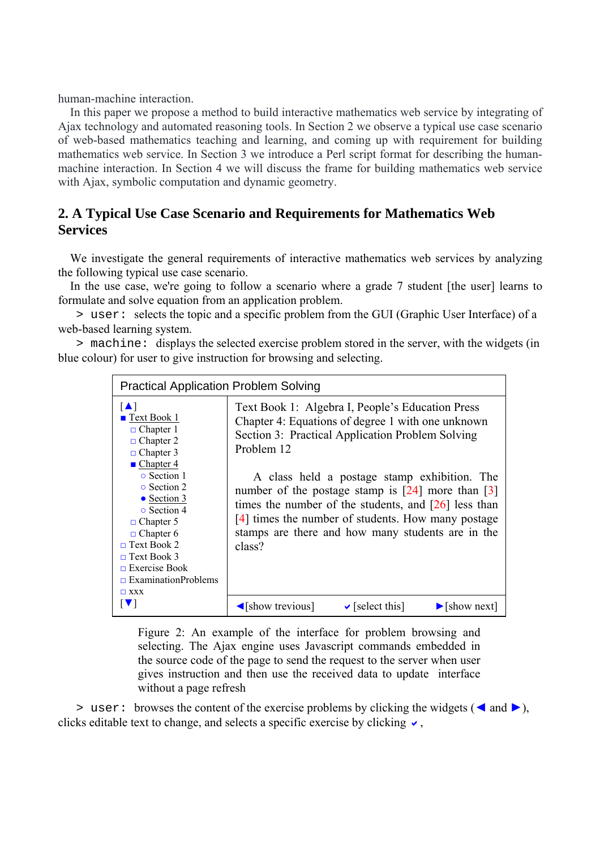human-machine interaction.

In this paper we propose a method to build interactive mathematics web service by integrating of Ajax technology and automated reasoning tools. In Section 2 we observe a typical use case scenario of web-based mathematics teaching and learning, and coming up with requirement for building mathematics web service. In Section 3 we introduce a Perl script format for describing the humanmachine interaction. In Section 4 we will discuss the frame for building mathematics web service with Ajax, symbolic computation and dynamic geometry.

## **2. A Typical Use Case Scenario and Requirements for Mathematics Web Services**

We investigate the general requirements of interactive mathematics web services by analyzing the following typical use case scenario.

In the use case, we're going to follow a scenario where a grade 7 student [the user] learns to formulate and solve equation from an application problem.

> user: selects the topic and a specific problem from the GUI (Graphic User Interface) of a web-based learning system.

> machine: displays the selected exercise problem stored in the server, with the widgets (in blue colour) for user to give instruction for browsing and selecting.

| <b>Practical Application Problem Solving</b>                                                                                                                                                                                                                                                                                                                     |                                                                                                                                                                                                                                                                                                                                                                                                                                                                              |  |
|------------------------------------------------------------------------------------------------------------------------------------------------------------------------------------------------------------------------------------------------------------------------------------------------------------------------------------------------------------------|------------------------------------------------------------------------------------------------------------------------------------------------------------------------------------------------------------------------------------------------------------------------------------------------------------------------------------------------------------------------------------------------------------------------------------------------------------------------------|--|
| $\blacksquare$<br>$\blacksquare$ Text Book 1<br>$\Box$ Chapter 1<br>$\Box$ Chapter 2<br>$\Box$ Chapter 3<br>$\blacksquare$ Chapter 4<br>• Section 1<br>• Section 2<br>$\bullet$ Section 3<br>• Section 4<br>$\Box$ Chapter 5<br>$\Box$ Chapter 6<br>$\Box$ Text Book 2<br>$\Box$ Text Book 3<br>$\Box$ Exercise Book<br>$\Box$ ExaminationProblems<br>$\Box$ XXX | Text Book 1: Algebra I, People's Education Press<br>Chapter 4: Equations of degree 1 with one unknown<br>Section 3: Practical Application Problem Solving<br>Problem 12<br>A class held a postage stamp exhibition. The<br>number of the postage stamp is $[24]$ more than $[3]$<br>times the number of the students, and $\left[26\right]$ less than<br>$[4]$ times the number of students. How many postage<br>stamps are there and how many students are in the<br>class? |  |
| IV I                                                                                                                                                                                                                                                                                                                                                             | $\checkmark$ [select this]<br>$\triangle$ [show trevious]<br>$\blacktriangleright$ [show next]                                                                                                                                                                                                                                                                                                                                                                               |  |

Figure 2: An example of the interface for problem browsing and selecting. The Ajax engine uses Javascript commands embedded in the source code of the page to send the request to the server when user gives instruction and then use the received data to update interface without a page refresh

> user: browses the content of the exercise problems by clicking the widgets (◄ and ►), clicks editable text to change, and selects a specific exercise by clicking  $\vee$ ,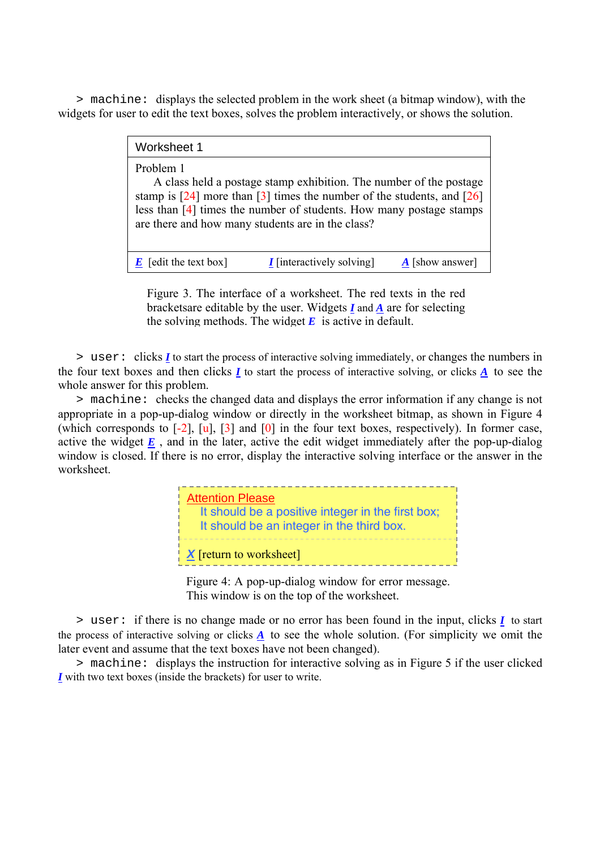> machine: displays the selected problem in the work sheet (a bitmap window), with the widgets for user to edit the text boxes, solves the problem interactively, or shows the solution.

| Worksheet 1                                                                                                                                                                                                                                                                                 |                                  |                        |  |
|---------------------------------------------------------------------------------------------------------------------------------------------------------------------------------------------------------------------------------------------------------------------------------------------|----------------------------------|------------------------|--|
| Problem 1<br>A class held a postage stamp exhibition. The number of the postage<br>stamp is $[24]$ more than $[3]$ times the number of the students, and $[26]$<br>less than [4] times the number of students. How many postage stamps<br>are there and how many students are in the class? |                                  |                        |  |
| $\boldsymbol{E}$ [edit the text box]                                                                                                                                                                                                                                                        | <i>I</i> [interactively solving] | $\bf{A}$ [show answer] |  |

Figure 3. The interface of a worksheet. The red texts in the red bracketsare editable by the user. Widgets *I* and *A* are for selecting the solving methods. The widget  $\vec{E}$  is active in default.

> user: clicks *I* to start the process of interactive solving immediately, or changes the numbers in the four text boxes and then clicks *I* to start the process of interactive solving, or clicks *A* to see the whole answer for this problem.

> machine: checks the changed data and displays the error information if any change is not appropriate in a pop-up-dialog window or directly in the worksheet bitmap, as shown in Figure 4 (which corresponds to  $[-2]$ ,  $[u]$ ,  $[3]$  and  $[0]$  in the four text boxes, respectively). In former case, active the widget  $\underline{E}$ , and in the later, active the edit widget immediately after the pop-up-dialog window is closed. If there is no error, display the interactive solving interface or the answer in the worksheet.



Figure 4: A pop-up-dialog window for error message. This window is on the top of the worksheet.

> user: if there is no change made or no error has been found in the input, clicks *I* to start the process of interactive solving or clicks *A* to see the whole solution. (For simplicity we omit the later event and assume that the text boxes have not been changed).

> machine: displays the instruction for interactive solving as in Figure 5 if the user clicked *I* with two text boxes (inside the brackets) for user to write.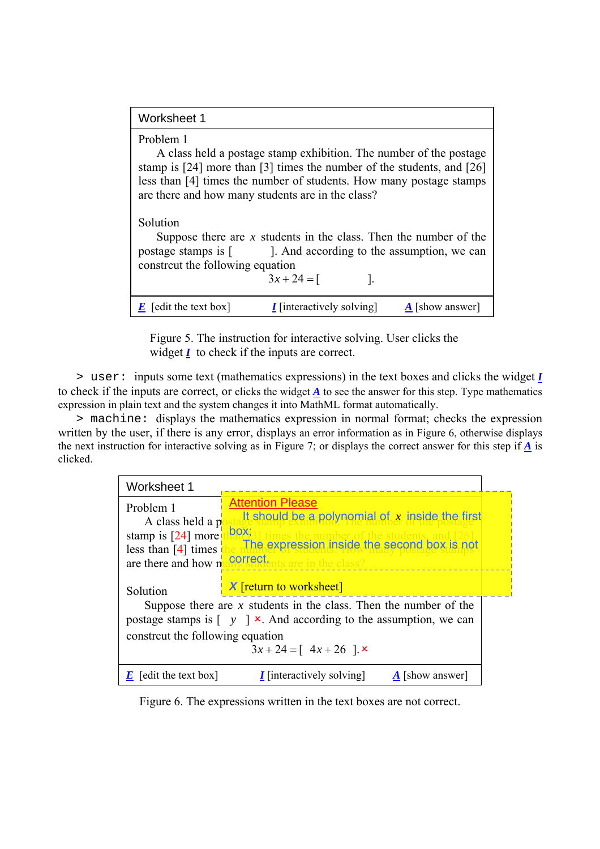| Worksheet 1                                                                                                                                                                                                                                                                           |                                                                                                                                              |  |  |
|---------------------------------------------------------------------------------------------------------------------------------------------------------------------------------------------------------------------------------------------------------------------------------------|----------------------------------------------------------------------------------------------------------------------------------------------|--|--|
| Problem 1<br>A class held a postage stamp exhibition. The number of the postage<br>stamp is [24] more than [3] times the number of the students, and [26]<br>less than [4] times the number of students. How many postage stamps<br>are there and how many students are in the class? |                                                                                                                                              |  |  |
| Solution<br>construte the following equation                                                                                                                                                                                                                                          | Suppose there are x students in the class. Then the number of the<br>postage stamps is [according to the assumption, we can<br>$3x + 24 = 1$ |  |  |
| $\boldsymbol{E}$ [edit the text box]                                                                                                                                                                                                                                                  | <i>I</i> [interactively solving]<br><b>A</b> [show answer]                                                                                   |  |  |

Figure 5. The instruction for interactive solving. User clicks the widget *I* to check if the inputs are correct.

> user: inputs some text (mathematics expressions) in the text boxes and clicks the widget *I* to check if the inputs are correct, or clicks the widget *A* to see the answer for this step. Type mathematics expression in plain text and the system changes it into MathML format automatically.

> machine: displays the mathematics expression in normal format; checks the expression written by the user, if there is any error, displays an error information as in Figure 6, otherwise displays the next instruction for interactive solving as in Figure 7; or displays the correct answer for this step if *A* is clicked.

| Worksheet 1                                                                                                                                                                                     |                                                                                                                                                                         |  |
|-------------------------------------------------------------------------------------------------------------------------------------------------------------------------------------------------|-------------------------------------------------------------------------------------------------------------------------------------------------------------------------|--|
| Problem 1<br>A class held a p<br>stamp is $[24]$ more<br>less than $[4]$ times<br>are there and how n                                                                                           | <b>Attention Please</b><br>It should be a polynomial of $x$ inside the first<br>box;<br>The expression inside the second box is not<br>correct.<br>is are in the class? |  |
| Solution                                                                                                                                                                                        | <b>X</b> [return to worksheet]                                                                                                                                          |  |
| Suppose there are $x$ students in the class. Then the number of the<br>postage stamps is $\lceil y \rceil \times$ . And according to the assumption, we can<br>constreut the following equation |                                                                                                                                                                         |  |
|                                                                                                                                                                                                 | $3x + 24 = 4x + 26$                                                                                                                                                     |  |
| $\boldsymbol{E}$ [edit the text box]                                                                                                                                                            | <i>I</i> [interactively solving]<br>$\bf{A}$ [show answer]                                                                                                              |  |

Figure 6. The expressions written in the text boxes are not correct.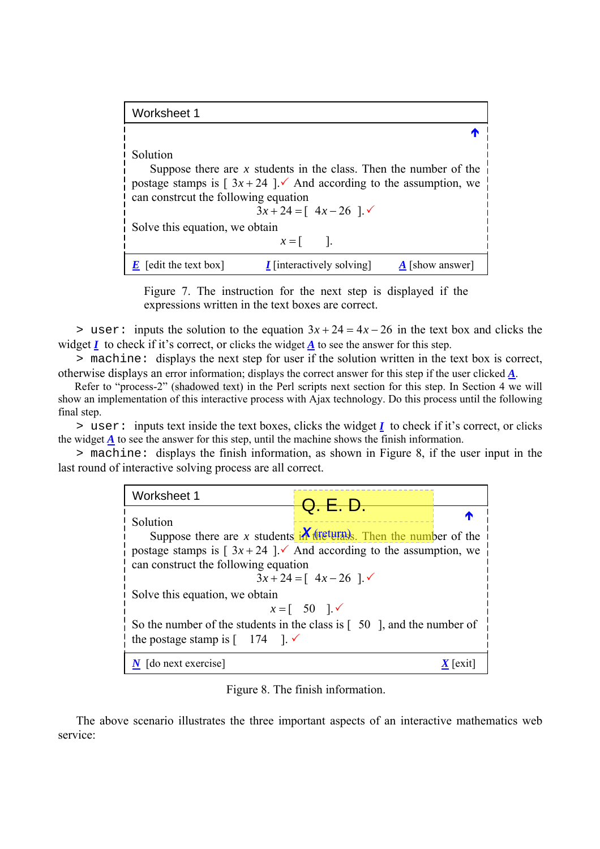| Worksheet 1                                      |                                                                                                                                                                               |                        |
|--------------------------------------------------|-------------------------------------------------------------------------------------------------------------------------------------------------------------------------------|------------------------|
|                                                  |                                                                                                                                                                               |                        |
| Solution<br>can construte the following equation | Suppose there are $x$ students in the class. Then the number of the<br>postage stamps is $\lceil 3x + 24 \rceil$ . And according to the assumption, we<br>$3x + 24 = 4x - 26$ |                        |
| Solve this equation, we obtain                   | $x=$                                                                                                                                                                          |                        |
| [edit the text box]                              | <i>I</i> [interactively solving]                                                                                                                                              | $\bf{A}$ [show answer] |

Figure 7. The instruction for the next step is displayed if the expressions written in the text boxes are correct.

 $>$  user: inputs the solution to the equation  $3x + 24 = 4x - 26$  in the text box and clicks the widget  $I$  to check if it's correct, or clicks the widget  $\underline{A}$  to see the answer for this step.

> machine: displays the next step for user if the solution written in the text box is correct, otherwise displays an error information; displays the correct answer for this step if the user clicked *A*.

Refer to "process-2" (shadowed text) in the Perl scripts next section for this step. In Section 4 we will show an implementation of this interactive process with Ajax technology. Do this process until the following final step.

> user: inputs text inside the text boxes, clicks the widget *I* to check if it's correct, or clicks the widget *A* to see the answer for this step, until the machine shows the finish information.

> machine: displays the finish information, as shown in Figure 8, if the user input in the last round of interactive solving process are all correct.

| Worksheet 1                                                                          | Q. E. D.                                     |  |
|--------------------------------------------------------------------------------------|----------------------------------------------|--|
| Solution                                                                             |                                              |  |
| Suppose there are x students in the students. Then the number of the                 |                                              |  |
| postage stamps is $\lceil 3x + 24 \rceil$ And according to the assumption, we        |                                              |  |
| can construct the following equation                                                 |                                              |  |
|                                                                                      | $3x + 24 = 4x - 26$                          |  |
| Solve this equation, we obtain                                                       |                                              |  |
|                                                                                      | $x = \begin{bmatrix} 50 \\ -1 \end{bmatrix}$ |  |
| So the number of the students in the class is $\lceil 50 \rceil$ , and the number of |                                              |  |
| the postage stamp is $\begin{bmatrix} 174 \\ 1 \end{bmatrix}$ .                      |                                              |  |
| [do next exercise]                                                                   |                                              |  |

Figure 8. The finish information.

The above scenario illustrates the three important aspects of an interactive mathematics web service: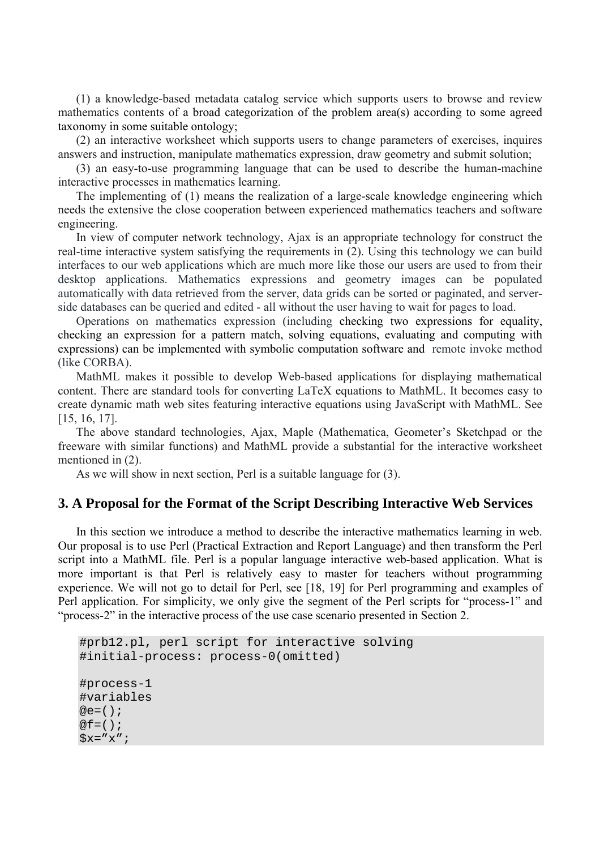(1) a knowledge-based metadata catalog service which supports users to browse and review mathematics contents of a broad categorization of the problem area(s) according to some agreed taxonomy in some suitable ontology;

(2) an interactive worksheet which supports users to change parameters of exercises, inquires answers and instruction, manipulate mathematics expression, draw geometry and submit solution;

(3) an easy-to-use programming language that can be used to describe the human-machine interactive processes in mathematics learning.

The implementing of (1) means the realization of a large-scale knowledge engineering which needs the extensive the close cooperation between experienced mathematics teachers and software engineering.

In view of computer network technology, Ajax is an appropriate technology for construct the real-time interactive system satisfying the requirements in (2). Using this technology we can build interfaces to our web applications which are much more like those our users are used to from their desktop applications. Mathematics expressions and geometry images can be populated automatically with data retrieved from the server, data grids can be sorted or paginated, and serverside databases can be queried and edited - all without the user having to wait for pages to load.

Operations on mathematics expression (including checking two expressions for equality, checking an expression for a pattern match, solving equations, evaluating and computing with expressions) can be implemented with symbolic computation software and remote invoke method (like CORBA).

MathML makes it possible to develop Web-based applications for displaying mathematical content. There are standard tools for converting LaTeX equations to MathML. It becomes easy to create dynamic math web sites featuring interactive equations using JavaScript with MathML. See [15, 16, 17].

The above standard technologies, Ajax, Maple (Mathematica, Geometer's Sketchpad or the freeware with similar functions) and MathML provide a substantial for the interactive worksheet mentioned in (2).

As we will show in next section, Perl is a suitable language for (3).

### **3. A Proposal for the Format of the Script Describing Interactive Web Services**

In this section we introduce a method to describe the interactive mathematics learning in web. Our proposal is to use Perl (Practical Extraction and Report Language) and then transform the Perl script into a MathML file. Perl is a popular language interactive web-based application. What is more important is that Perl is relatively easy to master for teachers without programming experience. We will not go to detail for Perl, see [18, 19] for Perl programming and examples of Perl application. For simplicity, we only give the segment of the Perl scripts for "process-1" and "process-2" in the interactive process of the use case scenario presented in Section 2.

```
#prb12.pl, perl script for interactive solving 
#initial-process: process-0(omitted) 
#process-1 
#variables 
@e=() ;
@f = ();
Sx="x";
```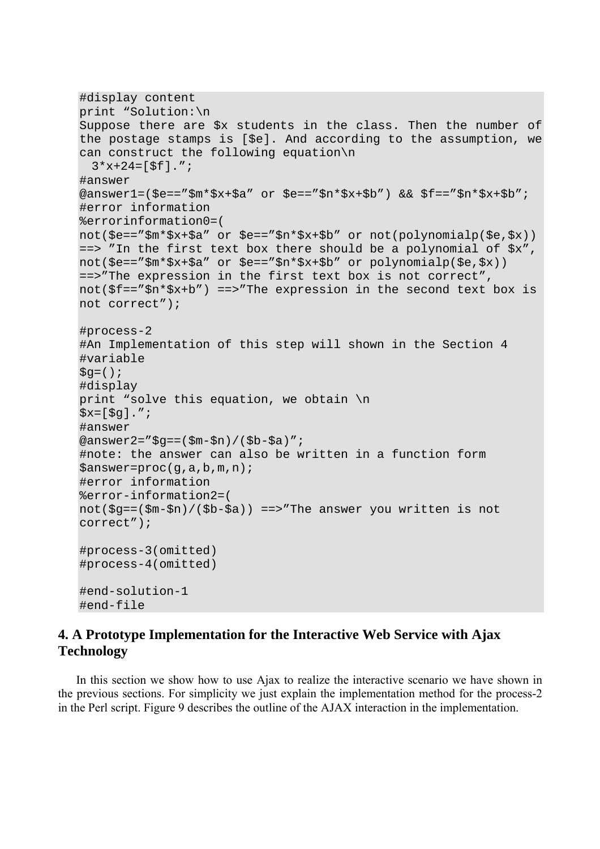```
#display content 
print "Solution:\n 
Suppose there are $x students in the class. Then the number of 
the postage stamps is [$e]. And according to the assumption, we 
can construct the following equation\n 
 3 * x + 24 = [5f]."#answer 
@answer1=($e=="$m*$x+$a" or $e=="$n*$x+$b") && $f=="$n*$x+$b"; 
#error information 
%errorinformation0=( 
not($e=="$m*$x+$a" or $e=="$n*$x+$b" or not(polynomialp($e,$x)) 
==> "In the first text box there should be a polynomial of $x", 
not($e=="$m*$x+$a" or $e=="$n*$x+$b" or polynomialp($e,$x)) 
==>"The expression in the first text box is not correct", 
not($f=="$n*$x+b") ==>"The expression in the second text box is 
not correct"); 
#process-2 
#An Implementation of this step will shown in the Section 4 
#variable 
\texttt{Sq}=(\ ) ;
#display 
print "solve this equation, we obtain \n 
$x=[$g].";
#answer 
@answer2="sg==(5m-5n)/(5b-5a)";
#note: the answer can also be written in a function form 
$answer=proc(g,a,b,m,n); 
#error information 
%error-information2=( 
not($g==($m-$n)/($b-$a)) ==>"The answer you written is not 
correct"); 
#process-3(omitted) 
#process-4(omitted) 
#end-solution-1 
#end-file
```
## **4. A Prototype Implementation for the Interactive Web Service with Ajax Technology**

In this section we show how to use Ajax to realize the interactive scenario we have shown in the previous sections. For simplicity we just explain the implementation method for the process-2 in the Perl script. Figure 9 describes the outline of the AJAX interaction in the implementation.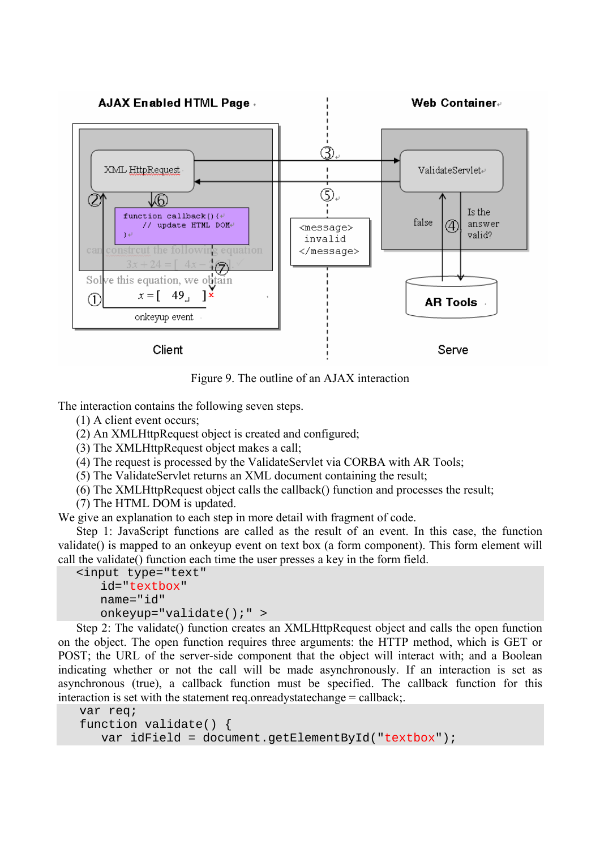

Figure 9. The outline of an AJAX interaction

The interaction contains the following seven steps.

(1) A client event occurs;

(2) An XMLHttpRequest object is created and configured;

(3) The XMLHttpRequest object makes a call;

(4) The request is processed by the ValidateServlet via CORBA with AR Tools;

(5) The ValidateServlet returns an XML document containing the result;

(6) The XMLHttpRequest object calls the callback() function and processes the result;

(7) The HTML DOM is updated.

We give an explanation to each step in more detail with fragment of code.

Step 1: JavaScript functions are called as the result of an event. In this case, the function validate() is mapped to an onkeyup event on text box (a form component). This form element will call the validate() function each time the user presses a key in the form field.

```
<input type="text" 
   id="textbox" 
   name="id" 
   onkeyup="validate();" >
```
Step 2: The validate() function creates an XMLHttpRequest object and calls the open function on the object. The open function requires three arguments: the HTTP method, which is GET or POST; the URL of the server-side component that the object will interact with; and a Boolean indicating whether or not the call will be made asynchronously. If an interaction is set as asynchronous (true), a callback function must be specified. The callback function for this interaction is set with the statement req.onreadystatechange = callback;

```
var req; 
function validate() { 
    var idField = document.getElementById("textbox");
```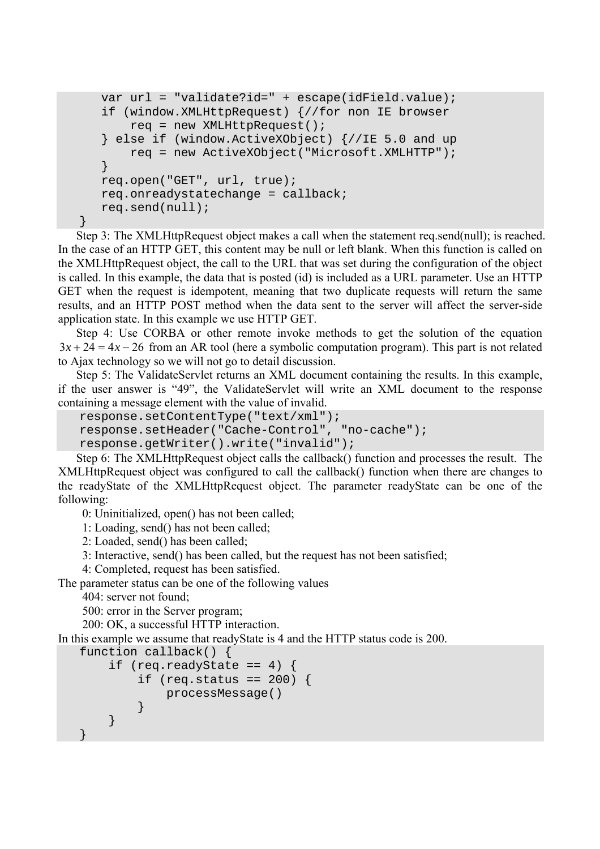```
 var url = "validate?id=" + escape(idField.value); 
    if (window.XMLHttpRequest) {//for non IE browser 
        req = new XMLHttpRequest(); 
    } else if (window.ActiveXObject) {//IE 5.0 and up 
        req = new ActiveXObject("Microsoft.XMLHTTP"); 
    } 
   req.open("GET", url, true); 
    req.onreadystatechange = callback; 
   req.send(null); 
}
```
Step 3: The XMLHttpRequest object makes a call when the statement req.send(null); is reached. In the case of an HTTP GET, this content may be null or left blank. When this function is called on the XMLHttpRequest object, the call to the URL that was set during the configuration of the object is called. In this example, the data that is posted (id) is included as a URL parameter. Use an HTTP GET when the request is idempotent, meaning that two duplicate requests will return the same results, and an HTTP POST method when the data sent to the server will affect the server-side application state. In this example we use HTTP GET.

Step 4: Use CORBA or other remote invoke methods to get the solution of the equation  $f(x) = 3x + 24 = 4x - 26$  from an AR tool (here a symbolic computation program). This part is not related to Ajax technology so we will not go to detail discussion.

Step 5: The ValidateServlet returns an XML document containing the results. In this example, if the user answer is "49", the ValidateServlet will write an XML document to the response containing a message element with the value of invalid.

```
response.setContentType("text/xml"); 
response.setHeader("Cache-Control", "no-cache"); 
response.getWriter().write("invalid");
```
Step 6: The XMLHttpRequest object calls the callback() function and processes the result. The XMLHttpRequest object was configured to call the callback() function when there are changes to the readyState of the XMLHttpRequest object. The parameter readyState can be one of the following:

0: Uninitialized, open() has not been called;

1: Loading, send() has not been called;

2: Loaded, send() has been called;

3: Interactive, send() has been called, but the request has not been satisfied;

4: Completed, request has been satisfied.

The parameter status can be one of the following values

404: server not found;

500: error in the Server program;

200: OK, a successful HTTP interaction.

In this example we assume that readyState is 4 and the HTTP status code is 200.

```
function callback() {
```

```
if (req.readyState == 4) {
       if (req.status == 200) {
            processMessage() 
 } 
     } 
}
```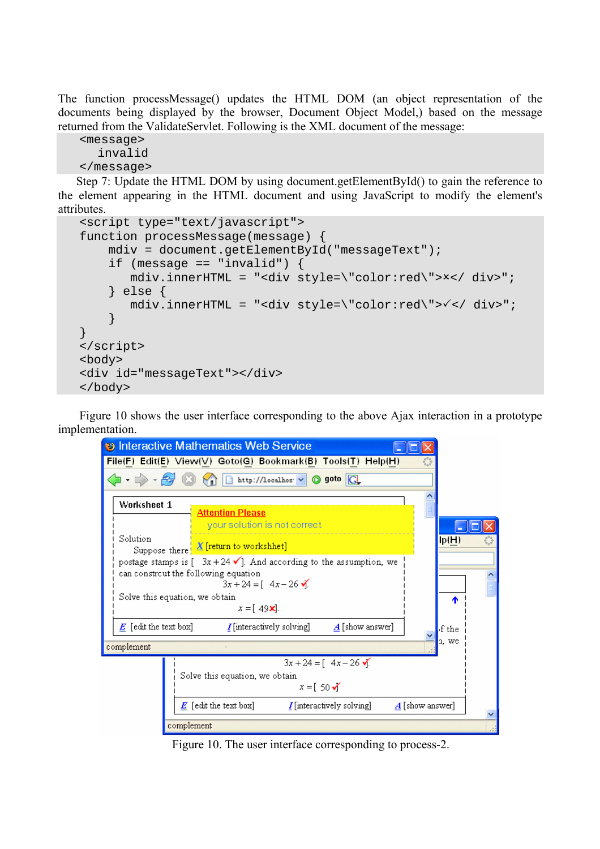The function processMessage() updates the HTML DOM (an object representation of the documents being displayed by the browser, Document Object Model,) based on the message returned from the ValidateServlet. Following is the XML document of the message:

```
<message> 
   invalid 
</message>
```
Step 7: Update the HTML DOM by using document.getElementById() to gain the reference to the element appearing in the HTML document and using JavaScript to modify the element's attributes.

```
<script type="text/javascript"> 
function processMessage(message) { 
     mdiv = document.getElementById("messageText"); 
    if (message == "invalid") \{\text{mdiv.innerHTML} = "div style=\text{vcolor:red}\text{v}>x</math> } else { 
        mdiv.innerHTML = "<div style=\"color:red\">3</ div>"; 
     } 
} 
</script> 
<body> 
<div id="messageText"></div> 
</body>
```
Figure 10 shows the user interface corresponding to the above Ajax interaction in a prototype implementation.

| <b>B</b> Interactive Mathematics Web Service                                                                                                   |  |
|------------------------------------------------------------------------------------------------------------------------------------------------|--|
| File(F) Edit(E) View(V) Goto(G) Bookmark(B) Tools(T) Help(H)                                                                                   |  |
| $\langle \cdot, \cdot \rangle \cdot \mathcal{Z}$ (3)<br>http://localhos v O goto                                                               |  |
| Worksheet 1<br><b>Attention Please</b>                                                                                                         |  |
| your solution is not correct.<br>Solution<br>lp(H)<br>Suppose there X [return to workshhet]                                                    |  |
| postage stamps is $[-3x+24 \checkmark]$ . And according to the assumption, we<br>can constreut the following equation<br>$3x + 24 = [4x - 26]$ |  |
| Solve this equation, we obtain<br>٠<br>$x = [49x]$ .                                                                                           |  |
| $E$ [edit the text box]<br>$I$ [interactively solving]<br>$\boldsymbol{A}$ [show answer]<br>f the                                              |  |
| n, we<br>complement                                                                                                                            |  |
| $3x + 24 = [4x - 26]$<br>Solve this equation, we obtain<br>$x = \begin{bmatrix} 50 \sqrt{5} \end{bmatrix}$                                     |  |
| $E$ [edit the text box]<br>$I$ [interactively solving]<br>$\mathbf{\Lambda}{}$ [show answer]                                                   |  |
| complement                                                                                                                                     |  |

Figure 10. The user interface corresponding to process-2.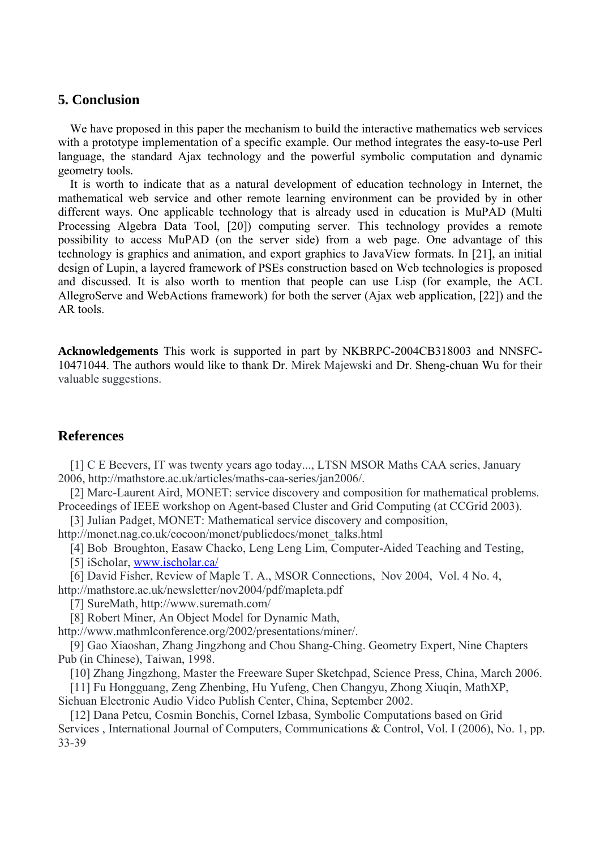### **5. Conclusion**

We have proposed in this paper the mechanism to build the interactive mathematics web services with a prototype implementation of a specific example. Our method integrates the easy-to-use Perl language, the standard Ajax technology and the powerful symbolic computation and dynamic geometry tools.

It is worth to indicate that as a natural development of education technology in Internet, the mathematical web service and other remote learning environment can be provided by in other different ways. One applicable technology that is already used in education is MuPAD (Multi Processing Algebra Data Tool, [20]) computing server. This technology provides a remote possibility to access MuPAD (on the server side) from a web page. One advantage of this technology is graphics and animation, and export graphics to JavaView formats. In [21], an initial design of Lupin, a layered framework of PSEs construction based on Web technologies is proposed and discussed. It is also worth to mention that people can use Lisp (for example, the ACL AllegroServe and WebActions framework) for both the server (Ajax web application, [22]) and the AR tools.

**Acknowledgements** This work is supported in part by NKBRPC-2004CB318003 and NNSFC-10471044. The authors would like to thank Dr. Mirek Majewski and Dr. Sheng-chuan Wu for their valuable suggestions.

## **References**

[1] C E Beevers, IT was twenty years ago today..., LTSN MSOR Maths CAA series, January 2006, http://mathstore.ac.uk/articles/maths-caa-series/jan2006/.

[2] Marc-Laurent Aird, MONET: service discovery and composition for mathematical problems. Proceedings of IEEE workshop on Agent-based Cluster and Grid Computing (at CCGrid 2003).

[3] Julian Padget, MONET: Mathematical service discovery and composition,

http://monet.nag.co.uk/cocoon/monet/publicdocs/monet\_talks.html

[4] Bob Broughton, Easaw Chacko, Leng Leng Lim, Computer-Aided Teaching and Testing,

[5] iScholar, [www.ischolar.ca/](http://www.ischolar.ca/)

[6] David Fisher, Review of Maple T. A., MSOR Connections, Nov 2004, Vol. 4 No. 4, http://mathstore.ac.uk/newsletter/nov2004/pdf/mapleta.pdf

[7] SureMath, http://www.suremath.com/

[8] Robert Miner, An Object Model for Dynamic Math,

http://www.mathmlconference.org/2002/presentations/miner/.

[9] Gao Xiaoshan, Zhang Jingzhong and Chou Shang-Ching. Geometry Expert, Nine Chapters Pub (in Chinese), Taiwan, 1998.

[10] Zhang Jingzhong, Master the Freeware Super Sketchpad, Science Press, China, March 2006.

[11] Fu Hongguang, Zeng Zhenbing, Hu Yufeng, Chen Changyu, Zhong Xiuqin, MathXP,

Sichuan Electronic Audio Video Publish Center, China, September 2002.

[12] Dana Petcu, Cosmin Bonchis, Cornel Izbasa, Symbolic Computations based on Grid Services , International Journal of Computers, Communications & Control, Vol. I (2006), No. 1, pp. 33-39